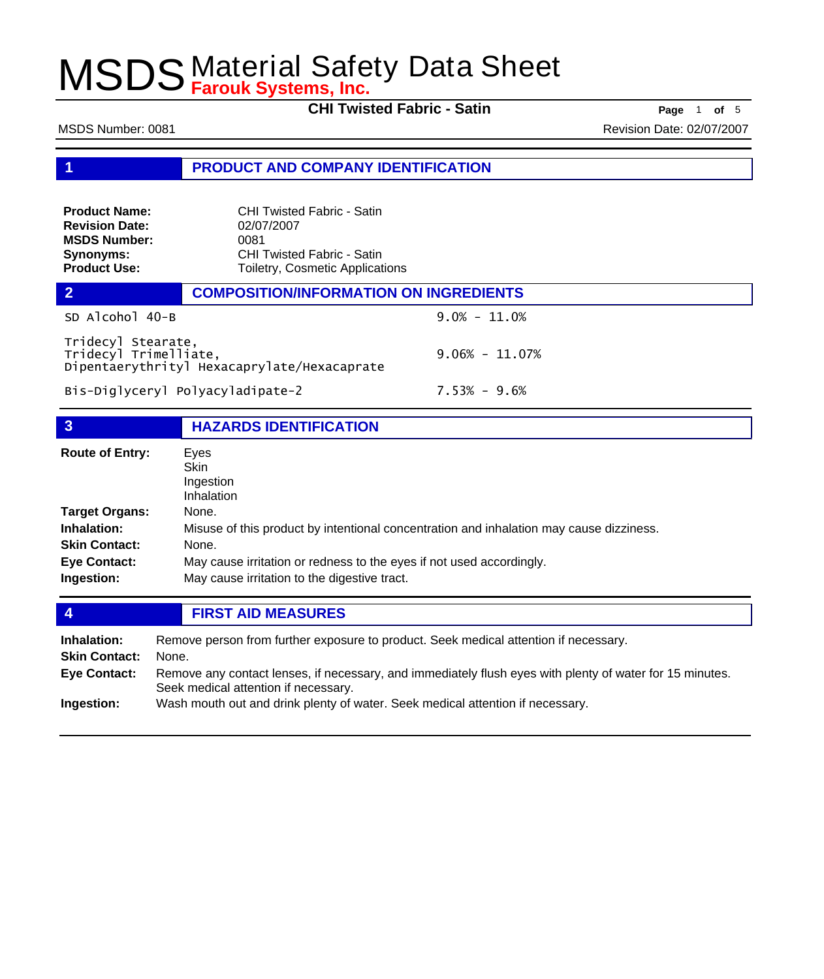**CHI Twisted Fabric - Satin** Page 1 of 5

MSDS Number: 0081 Revision Date: 02/07/2007

### **1 PRODUCT AND COMPANY IDENTIFICATION**

| <b>Product Name:</b>  | <b>CHI Twisted Fabric - Satin</b> |
|-----------------------|-----------------------------------|
| <b>Revision Date:</b> | 02/07/2007                        |
| <b>MSDS Number:</b>   | 0081                              |
| <b>Synonyms:</b>      | <b>CHI Twisted Fabric - Satin</b> |
| <b>Product Use:</b>   | Toiletry, Cosmetic Applications   |

|                                             | <b>COMPOSITION/INFORMATION ON INGREDIENTS</b> |                    |
|---------------------------------------------|-----------------------------------------------|--------------------|
| SD Alcohol 40-B                             |                                               | $9.0\% - 11.0\%$   |
| Tridecyl Stearate,<br>Tridecyl Trimelliate, | Dipentaerythrityl Hexacaprylate/Hexacaprate   | $9.06\% - 11.07\%$ |
|                                             | Bis-Diglyceryl Polyacyladipate-2              | $7.53\% - 9.6\%$   |

| $\overline{3}$         | <b>HAZARDS IDENTIFICATION</b>                                                           |  |
|------------------------|-----------------------------------------------------------------------------------------|--|
| <b>Route of Entry:</b> | Eyes<br><b>Skin</b>                                                                     |  |
|                        | Ingestion                                                                               |  |
|                        | Inhalation                                                                              |  |
| <b>Target Organs:</b>  | None.                                                                                   |  |
| Inhalation:            | Misuse of this product by intentional concentration and inhalation may cause dizziness. |  |
| <b>Skin Contact:</b>   | None.                                                                                   |  |
| <b>Eye Contact:</b>    | May cause irritation or redness to the eyes if not used accordingly.                    |  |
| Ingestion:             | May cause irritation to the digestive tract.                                            |  |

| $\sqrt{4}$           |                                                                                                                                                  | <b>FIRST AID MEASURES</b>                                                      |  |
|----------------------|--------------------------------------------------------------------------------------------------------------------------------------------------|--------------------------------------------------------------------------------|--|
| Inhalation:          | Remove person from further exposure to product. Seek medical attention if necessary.                                                             |                                                                                |  |
| <b>Skin Contact:</b> | None.                                                                                                                                            |                                                                                |  |
| <b>Eye Contact:</b>  | Remove any contact lenses, if necessary, and immediately flush eyes with plenty of water for 15 minutes.<br>Seek medical attention if necessary. |                                                                                |  |
| Ingestion:           |                                                                                                                                                  | Wash mouth out and drink plenty of water. Seek medical attention if necessary. |  |
|                      |                                                                                                                                                  |                                                                                |  |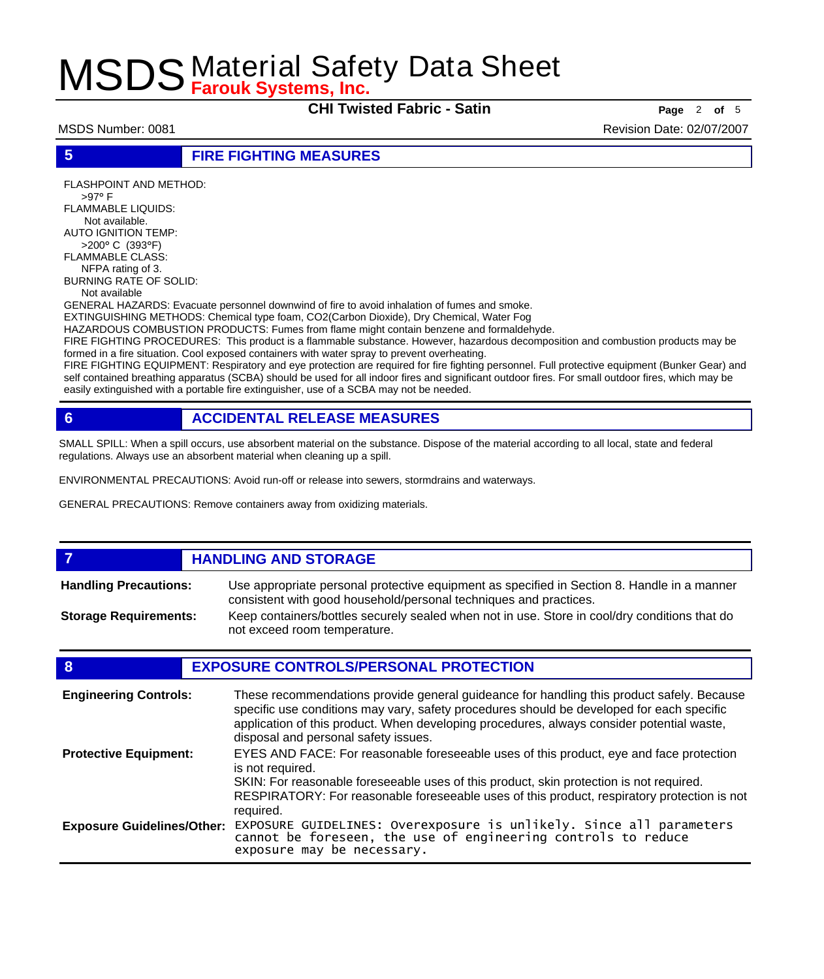**CHI Twisted Fabric - Satin Page** <sup>2</sup> **of** <sup>5</sup>

MSDS Number: 0081 Revision Date: 02/07/2007

#### **5 FIRE FIGHTING MEASURES**

FLASHPOINT AND METHOD: >97° F FLAMMABLE LIQUIDS: Not available. AUTO IGNITION TEMP: >200° C (393°F) FLAMMABLE CLASS: NFPA rating of 3. BURNING RATE OF SOLID: Not available GENERAL HAZARDS: Evacuate personnel downwind of fire to avoid inhalation of fumes and smoke. EXTINGUISHING METHODS: Chemical type foam, CO2(Carbon Dioxide), Dry Chemical, Water Fog HAZARDOUS COMBUSTION PRODUCTS: Fumes from flame might contain benzene and formaldehyde. FIRE FIGHTING PROCEDURES: This product is a flammable substance. However, hazardous decomposition and combustion products may be formed in a fire situation. Cool exposed containers with water spray to prevent overheating. FIRE FIGHTING EQUIPMENT: Respiratory and eye protection are required for fire fighting personnel. Full protective equipment (Bunker Gear) and self contained breathing apparatus (SCBA) should be used for all indoor fires and significant outdoor fires. For small outdoor fires, which may be easily extinguished with a portable fire extinguisher, use of a SCBA may not be needed.

### **6 ACCIDENTAL RELEASE MEASURES**

SMALL SPILL: When a spill occurs, use absorbent material on the substance. Dispose of the material according to all local, state and federal regulations. Always use an absorbent material when cleaning up a spill.

ENVIRONMENTAL PRECAUTIONS: Avoid run-off or release into sewers, stormdrains and waterways.

GENERAL PRECAUTIONS: Remove containers away from oxidizing materials.

#### *HANDLING AND STORAGE* Use appropriate personal protective equipment as specified in Section 8. Handle in a manner consistent with good household/personal techniques and practices. **Handling Precautions:** Keep containers/bottles securely sealed when not in use. Store in cool/dry conditions that do not exceed room temperature. **Storage Requirements:**

### **8 EXPOSURE CONTROLS/PERSONAL PROTECTION**

| <b>Engineering Controls:</b>      | These recommendations provide general guideance for handling this product safely. Because<br>specific use conditions may vary, safety procedures should be developed for each specific<br>application of this product. When developing procedures, always consider potential waste,<br>disposal and personal safety issues. |
|-----------------------------------|-----------------------------------------------------------------------------------------------------------------------------------------------------------------------------------------------------------------------------------------------------------------------------------------------------------------------------|
| <b>Protective Equipment:</b>      | EYES AND FACE: For reasonable foreseeable uses of this product, eye and face protection<br>is not required.<br>SKIN: For reasonable foreseeable uses of this product, skin protection is not required.<br>RESPIRATORY: For reasonable foreseeable uses of this product, respiratory protection is not<br>required.          |
| <b>Exposure Guidelines/Other:</b> | EXPOSURE GUIDELINES: Overexposure is unlikely. Since all parameters cannot be foreseen, the use of engineering controls to reduce<br>exposure may be necessary.                                                                                                                                                             |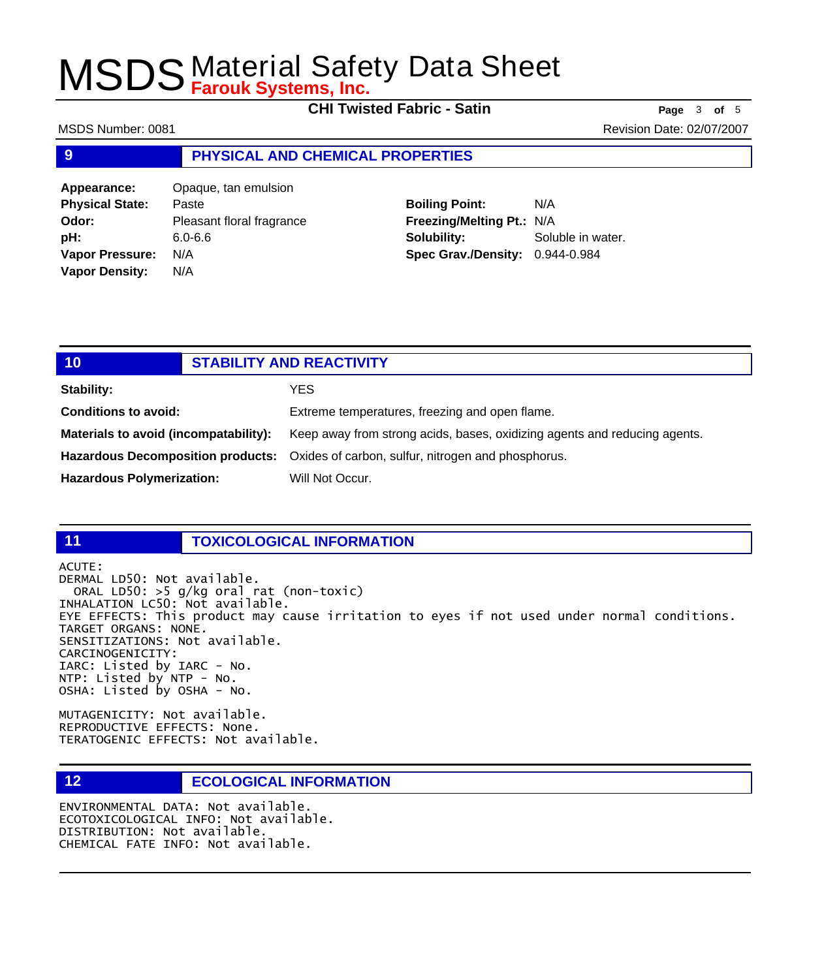**CHI Twisted Fabric - Satin Page** 3 of 5

MSDS Number: 0081 Revision Date: 02/07/2007

#### **9 PHYSICAL AND CHEMICAL PROPERTIES**

**Appearance:** Opaque, tan emulsion **Physical State:** Paste **Odor:** Pleasant floral fragrance **pH:** 6.0-6.6 **Vapor Pressure:** N/A **Vapor Density:** N/A

### **Boiling Point:** N/A **Freezing/Melting Pt.:** N/A

**Solubility:** Soluble in water. **Spec Grav./Density:** 0.944-0.984

| 10                                    | <b>STABILITY AND REACTIVITY</b> |                                                                                      |
|---------------------------------------|---------------------------------|--------------------------------------------------------------------------------------|
| Stability:                            |                                 | YES                                                                                  |
| <b>Conditions to avoid:</b>           |                                 | Extreme temperatures, freezing and open flame.                                       |
| Materials to avoid (incompatability): |                                 | Keep away from strong acids, bases, oxidizing agents and reducing agents.            |
|                                       |                                 | Hazardous Decomposition products: Oxides of carbon, sulfur, nitrogen and phosphorus. |
| <b>Hazardous Polymerization:</b>      |                                 | Will Not Occur.                                                                      |

#### **11 TOXICOLOGICAL INFORMATION**

ACUTE: DERMAL LD50: Not available. ORAL LD50: >5 g/kg oral rat (non-toxic) INHALATION LC50: Not available. EYE EFFECTS: This product may cause irritation to eyes if not used under normal conditions. TARGET ORGANS: NONE. SENSITIZATIONS: Not available. CARCINOGENICITY: IARC: Listed by IARC - No. NTP: Listed by NTP - No. OSHA: Listed by OSHA - No.

MUTAGENICITY: Not available. REPRODUCTIVE EFFECTS: None. TERATOGENIC EFFECTS: Not available.

### **12 ECOLOGICAL INFORMATION**

ENVIRONMENTAL DATA: Not available. ECOTOXICOLOGICAL INFO: Not available. DISTRIBUTION: Not available. CHEMICAL FATE INFO: Not available.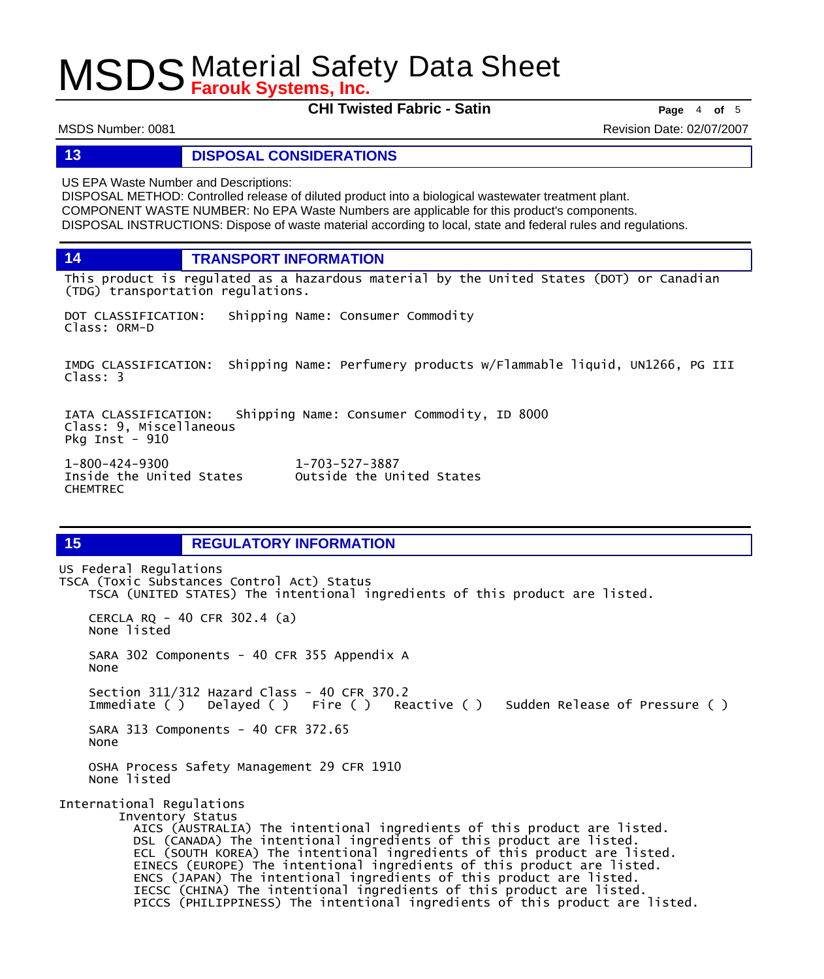**CHI Twisted Fabric - Satin Page** <sup>4</sup> **of** <sup>5</sup>

MSDS Number: 0081 Revision Date: 02/07/2007

#### **13 DISPOSAL CONSIDERATIONS**

US EPA Waste Number and Descriptions:

DISPOSAL METHOD: Controlled release of diluted product into a biological wastewater treatment plant. COMPONENT WASTE NUMBER: No EPA Waste Numbers are applicable for this product's components. DISPOSAL INSTRUCTIONS: Dispose of waste material according to local, state and federal rules and regulations.

**14 TRANSPORT INFORMATION**

This product is regulated as a hazardous material by the United States (DOT) or Canadian (TDG) transportation regulations.

DOT CLASSIFICATION: Shipping Name: Consumer Commodity Class: ORM-D

IMDG CLASSIFICATION: Shipping Name: Perfumery products w/Flammable liquid, UN1266, PG III Class: 3

IATA CLASSIFICATION: Shipping Name: Consumer Commodity, ID 8000 Class: 9, Miscellaneous Pkg Inst -  $910$ 

1-800-424-9300 1-703-527-3887 CHEMTREC

Outside the United States

### **15 REGULATORY INFORMATION**

US Federal Regulations TSCA (Toxic Substances Control Act) Status TSCA (UNITED STATES) The intentional ingredients of this product are listed. CERCLA RQ - 40 CFR 302.4 (a) None listed SARA 302 Components - 40 CFR 355 Appendix A None Section 311/312 Hazard Class - 40 CFR 370.2<br>Immediate ( ) Delayed ( ) Fire ( ) Re Fire ( ) Reactive ( ) Sudden Release of Pressure ( ) SARA 313 Components - 40 CFR 372.65 None OSHA Process Safety Management 29 CFR 1910 None listed International Regulations Inventory Status AICS (AUSTRALIA) The intentional ingredients of this product are listed. DSL (CANADA) The intentional ingredients of this product are listed. ECL (SOUTH KOREA) The intentional ingredients of this product are listed. EINECS (EUROPE) The intentional ingredients of this product are listed. ENCS (JAPAN) The intentional ingredients of this product are listed. IECSC (CHINA) The intentional ingredients of this product are listed. PICCS (PHILIPPINESS) The intentional ingredients of this product are listed.